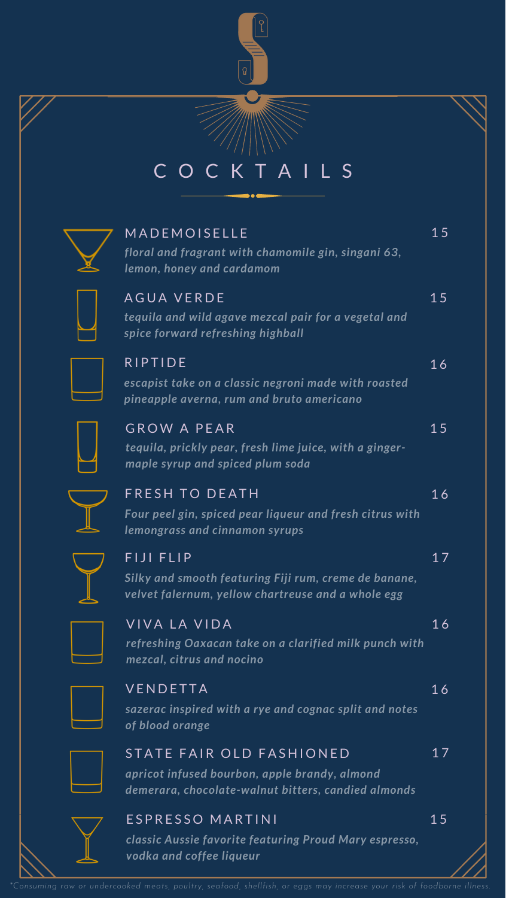## C O C K T A I L S 1 5 1 5 1 6 1 5 1 6 1 7 1 6 1 7 1 6 *tequila, prickly pear, fresh lime juice, with a gingermaple syrup and spiced plum soda* **MADEMOISELLE** *floral and fragrant with chamomile gin, singani 63, lemon, honey and cardamom* AGUA VERDE *tequila and wild agave mezcal pair for a vegetal and spice forward refreshing highball* **RIPTIDE** *escapist take on a classic negroni made with roasted pineapple averna, rum and bruto americano* GROW A PEAR **FRESH TO DEATH** *Four peel gin, spiced pear liqueur and fresh citrus with lemongrass and cinnamon syrups* FIJI FIIP *Silky and smooth featuring Fiji rum, creme de banane, velvet falernum, yellow chartreuse and a whole egg* VIVA LA VIDA *refreshing Oaxacan take on a clarified milk punch with mezcal, citrus and nocino* **VENDETTA** *sazerac inspired with a rye and cognac split and notes of blood orange* STATE FAIR OLD FASHIONED *apricot infused bourbon, apple brandy, almond demerara, chocolate-walnut bitters, candied almonds* E SPRESSO MARTINI 1 5

*classic Aussie favorite featuring Proud Mary espresso, vodka and coffee liqueur*